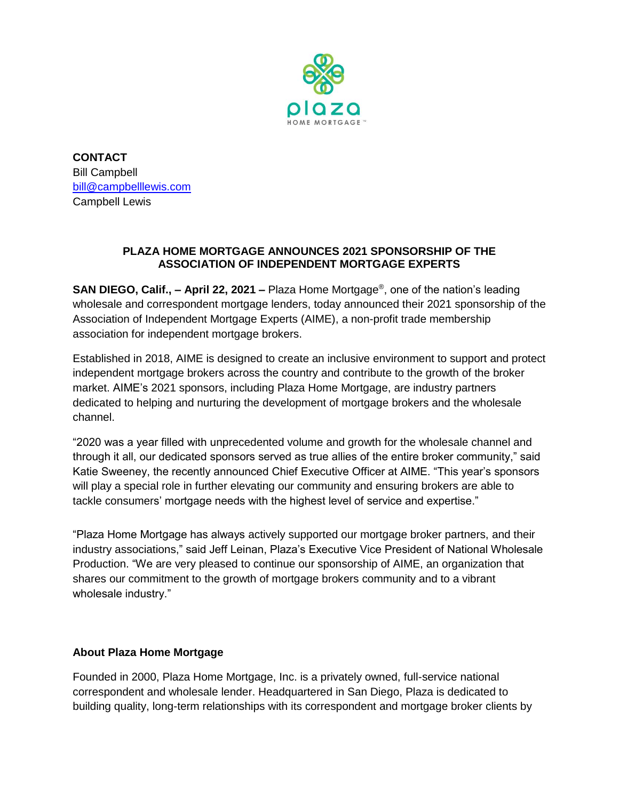

**CONTACT** Bill Campbell [bill@campbelllewis.com](mailto:bill@campbelllewis.com) Campbell Lewis

## **PLAZA HOME MORTGAGE ANNOUNCES 2021 SPONSORSHIP OF THE ASSOCIATION OF INDEPENDENT MORTGAGE EXPERTS**

**SAN DIEGO, Calif., – April 22, 2021 –** Plaza Home Mortgage® , one of the nation's leading wholesale and correspondent mortgage lenders, today announced their 2021 sponsorship of the Association of Independent Mortgage Experts (AIME), a non-profit trade membership association for independent mortgage brokers.

Established in 2018, AIME is designed to create an inclusive environment to support and protect independent mortgage brokers across the country and contribute to the growth of the broker market. AIME's 2021 sponsors, including Plaza Home Mortgage, are industry partners dedicated to helping and nurturing the development of mortgage brokers and the wholesale channel.

"2020 was a year filled with unprecedented volume and growth for the wholesale channel and through it all, our dedicated sponsors served as true allies of the entire broker community," said Katie Sweeney, the recently announced Chief Executive Officer at AIME. "This year's sponsors will play a special role in further elevating our community and ensuring brokers are able to tackle consumers' mortgage needs with the highest level of service and expertise."

"Plaza Home Mortgage has always actively supported our mortgage broker partners, and their industry associations," said Jeff Leinan, Plaza's Executive Vice President of National Wholesale Production. "We are very pleased to continue our sponsorship of AIME, an organization that shares our commitment to the growth of mortgage brokers community and to a vibrant wholesale industry."

## **About Plaza Home Mortgage**

Founded in 2000, Plaza Home Mortgage, Inc. is a privately owned, full-service national correspondent and wholesale lender. Headquartered in San Diego, Plaza is dedicated to building quality, long-term relationships with its correspondent and mortgage broker clients by